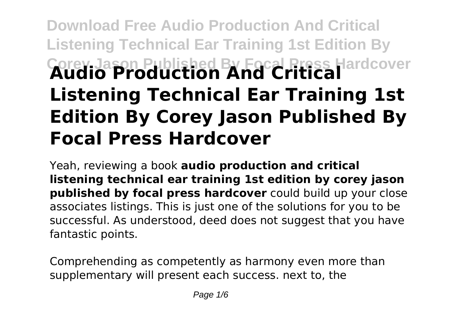# **Download Free Audio Production And Critical Listening Technical Ear Training 1st Edition By Corey Jason Published By Focal Press Hardcover Audio Production And Critical Listening Technical Ear Training 1st Edition By Corey Jason Published By Focal Press Hardcover**

Yeah, reviewing a book **audio production and critical listening technical ear training 1st edition by corey jason published by focal press hardcover** could build up your close associates listings. This is just one of the solutions for you to be successful. As understood, deed does not suggest that you have fantastic points.

Comprehending as competently as harmony even more than supplementary will present each success. next to, the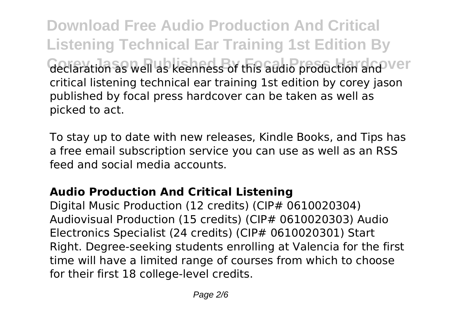**Download Free Audio Production And Critical Listening Technical Ear Training 1st Edition By Geclaration as well as keenness of this audio production and ver** critical listening technical ear training 1st edition by corey jason published by focal press hardcover can be taken as well as picked to act.

To stay up to date with new releases, Kindle Books, and Tips has a free email subscription service you can use as well as an RSS feed and social media accounts.

## **Audio Production And Critical Listening**

Digital Music Production (12 credits) (CIP# 0610020304) Audiovisual Production (15 credits) (CIP# 0610020303) Audio Electronics Specialist (24 credits) (CIP# 0610020301) Start Right. Degree-seeking students enrolling at Valencia for the first time will have a limited range of courses from which to choose for their first 18 college-level credits.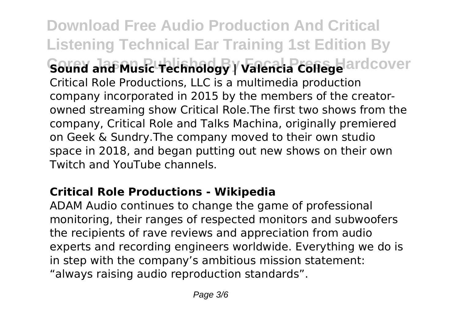**Download Free Audio Production And Critical Listening Technical Ear Training 1st Edition By Sound and Music Technology | Valencia College** ardcover Critical Role Productions, LLC is a multimedia production company incorporated in 2015 by the members of the creatorowned streaming show Critical Role.The first two shows from the company, Critical Role and Talks Machina, originally premiered on Geek & Sundry.The company moved to their own studio space in 2018, and began putting out new shows on their own Twitch and YouTube channels.

### **Critical Role Productions - Wikipedia**

ADAM Audio continues to change the game of professional monitoring, their ranges of respected monitors and subwoofers the recipients of rave reviews and appreciation from audio experts and recording engineers worldwide. Everything we do is in step with the company's ambitious mission statement: "always raising audio reproduction standards".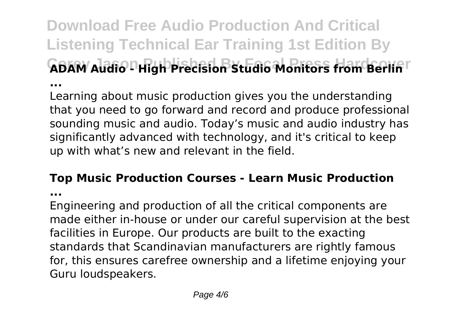**Download Free Audio Production And Critical Listening Technical Ear Training 1st Edition By GBAW AUdio PHigh Precision Studio Monitors Handberlin ...**

Learning about music production gives you the understanding that you need to go forward and record and produce professional sounding music and audio. Today's music and audio industry has significantly advanced with technology, and it's critical to keep up with what's new and relevant in the field.

#### **Top Music Production Courses - Learn Music Production**

**...**

Engineering and production of all the critical components are made either in-house or under our careful supervision at the best facilities in Europe. Our products are built to the exacting standards that Scandinavian manufacturers are rightly famous for, this ensures carefree ownership and a lifetime enjoying your Guru loudspeakers.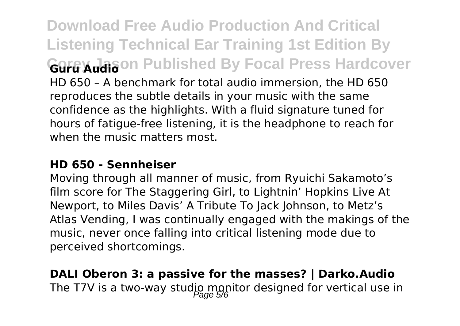**Download Free Audio Production And Critical Listening Technical Ear Training 1st Edition By Gure X<sub>u</sub>lason Published By Focal Press Hardcover** HD 650 – A benchmark for total audio immersion, the HD 650 reproduces the subtle details in your music with the same confidence as the highlights. With a fluid signature tuned for hours of fatigue-free listening, it is the headphone to reach for when the music matters most.

#### **HD 650 - Sennheiser**

Moving through all manner of music, from Ryuichi Sakamoto's film score for The Staggering Girl, to Lightnin' Hopkins Live At Newport, to Miles Davis' A Tribute To Jack Johnson, to Metz's Atlas Vending, I was continually engaged with the makings of the music, never once falling into critical listening mode due to perceived shortcomings.

**DALI Oberon 3: a passive for the masses? | Darko.Audio** The T7V is a two-way studio monitor designed for vertical use in